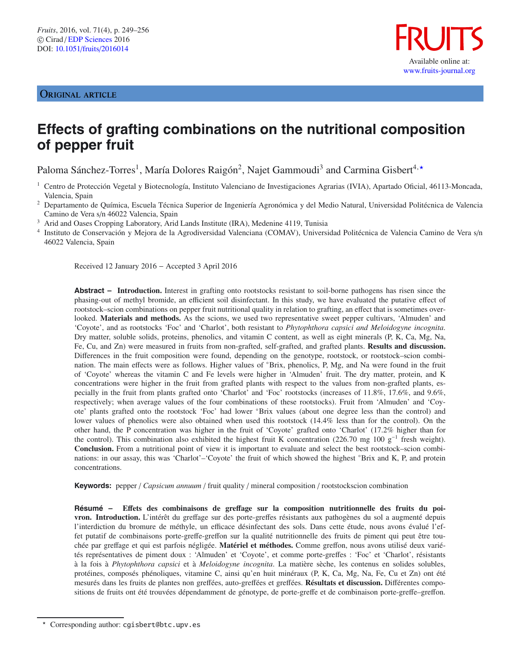# ORIGINAL ARTICLE



# **Effects of grafting combinations on the nutritional composition of pepper fruit**

Paloma Sánchez-Torres<sup>1</sup>, María Dolores Raigón<sup>2</sup>, Najet Gammoudi<sup>3</sup> and Carmina Gisbert<sup>4,</sup>\*

- <sup>1</sup> Centro de Protección Vegetal y Biotecnología, Instituto Valenciano de Investigaciones Agrarias (IVIA), Apartado Oficial, 46113-Moncada, Valencia, Spain
- <sup>2</sup> Departamento de Química, Escuela Técnica Superior de Ingeniería Agronómica y del Medio Natural, Universidad Politécnica de Valencia Camino de Vera s/n 46022 Valencia, Spain

<sup>3</sup> Arid and Oases Cropping Laboratory, Arid Lands Institute (IRA), Medenine 4119, Tunisia

<sup>4</sup> Instituto de Conservación y Mejora de la Agrodiversidad Valenciana (COMAV), Universidad Politécnica de Valencia Camino de Vera s/n 46022 Valencia, Spain

Received 12 January 2016 − Accepted 3 April 2016

**Abstract – Introduction.** Interest in grafting onto rootstocks resistant to soil-borne pathogens has risen since the phasing-out of methyl bromide, an efficient soil disinfectant. In this study, we have evaluated the putative effect of rootstock–scion combinations on pepper fruit nutritional quality in relation to grafting, an effect that is sometimes overlooked. **Materials and methods.** As the scions, we used two representative sweet pepper cultivars, 'Almuden' and 'Coyote', and as rootstocks 'Foc' and 'Charlot', both resistant to *Phytophthora capsici and Meloidogyne incognita*. Dry matter, soluble solids, proteins, phenolics, and vitamin C content, as well as eight minerals (P, K, Ca, Mg, Na, Fe, Cu, and Zn) were measured in fruits from non-grafted, self-grafted, and grafted plants. **Results and discussion.** Differences in the fruit composition were found, depending on the genotype, rootstock, or rootstock–scion combination. The main effects were as follows. Higher values of ◦Brix, phenolics, P, Mg, and Na were found in the fruit of 'Coyote' whereas the vitamin C and Fe levels were higher in 'Almuden' fruit. The dry matter, protein, and K concentrations were higher in the fruit from grafted plants with respect to the values from non-grafted plants, especially in the fruit from plants grafted onto 'Charlot' and 'Foc' rootstocks (increases of 11.8%, 17.6%, and 9.6%, respectively; when average values of the four combinations of these rootstocks). Fruit from 'Almuden' and 'Coyote' plants grafted onto the rootstock 'Foc' had lower ◦Brix values (about one degree less than the control) and lower values of phenolics were also obtained when used this rootstock (14.4% less than for the control). On the other hand, the P concentration was higher in the fruit of 'Coyote' grafted onto 'Charlot' (17.2% higher than for the control). This combination also exhibited the highest fruit K concentration (226.70 mg 100 g<sup>-1</sup> fresh weight). **Conclusion.** From a nutritional point of view it is important to evaluate and select the best rootstock–scion combinations: in our assay, this was 'Charlot'–'Coyote' the fruit of which showed the highest ◦Brix and K, P, and protein concentrations.

**Keywords:** pepper / *Capsicum annuum* / fruit quality / mineral composition / rootstockscion combination

**Résumé – E**ff**ets des combinaisons de gre**ff**age sur la composition nutritionnelle des fruits du poivron. Introduction.** L'intérêt du greffage sur des porte-greffes résistants aux pathogènes du sol a augmenté depuis l'interdiction du bromure de méthyle, un efficace désinfectant des sols. Dans cette étude, nous avons évalué l'effet putatif de combinaisons porte-greffe-greffon sur la qualité nutritionnelle des fruits de piment qui peut être touchée par greffage et qui est parfois négligée. **Matériel et méthodes.** Comme greffon, nous avons utilisé deux variétés représentatives de piment doux : 'Almuden' et 'Coyote', et comme porte-greffes : 'Foc' et 'Charlot', résistants à la fois à *Phytophthora capsici* et à *Meloidogyne incognita*. La matière sèche, les contenus en solides solubles, protéines, composés phénoliques, vitamine C, ainsi qu'en huit minéraux (P, K, Ca, Mg, Na, Fe, Cu et Zn) ont été mesurés dans les fruits de plantes non greffées, auto-greffées et greffées. **Résultats et discussion.** Différentes compositions de fruits ont été trouvées dépendamment de génotype, de porte-greffe et de combinaison porte-greffe–greffon.

 $\star$ Corresponding author: cgisbert@btc.upv.es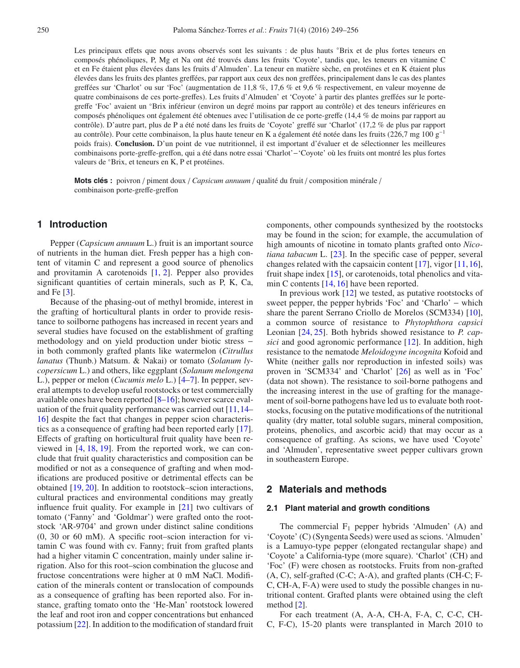Les principaux effets que nous avons observés sont les suivants : de plus hauts °Brix et de plus fortes teneurs en composés phénoliques, P, Mg et Na ont été trouvés dans les fruits 'Coyote', tandis que, les teneurs en vitamine C et en Fe étaient plus élevées dans les fruits d'Almuden'. La teneur en matière sèche, en protéines et en K étaient plus élevées dans les fruits des plantes greffées, par rapport aux ceux des non greffées, principalement dans le cas des plantes greffées sur 'Charlot' ou sur 'Foc' (augmentation de 11,8 %, 17,6 % et 9,6 % respectivement, en valeur moyenne de quatre combinaisons de ces porte-greffes). Les fruits d'Almuden' et 'Coyote' à partir des plantes greffées sur le portegreffe 'Foc' avaient un ◦Brix inférieur (environ un degré moins par rapport au contrôle) et des teneurs inférieures en composés phénoliques ont également été obtenues avec l'utilisation de ce porte-greffe (14,4 % de moins par rapport au contrôle). D'autre part, plus de P a été noté dans les fruits de 'Coyote' greffé sur 'Charlot' (17,2 % de plus par rapport au contrôle). Pour cette combinaison, la plus haute teneur en K a également été notée dans les fruits (226,7 mg 100 g−<sup>1</sup> poids frais). **Conclusion.** D'un point de vue nutritionnel, il est important d'évaluer et de sélectionner les meilleures combinaisons porte-greffe-greffon, qui a été dans notre essai 'Charlot'−'Coyote' où les fruits ont montré les plus fortes valeurs de ◦Brix, et teneurs en K, P et protéines.

**Mots clés :** poivron / piment doux / *Capsicum annuum* / qualité du fruit / composition minérale / combinaison porte-greffe-greffon

# **1 Introduction**

Pepper (*Capsicum annuum* L.) fruit is an important source of nutrients in the human diet. Fresh pepper has a high content of vitamin C and represent a good source of phenolics and provitamin A carotenoids [\[1,](#page-5-0) [2\]](#page-5-1). Pepper also provides significant quantities of certain minerals, such as P, K, Ca, and Fe [\[3](#page-5-2)].

Because of the phasing-out of methyl bromide, interest in the grafting of horticultural plants in order to provide resistance to soilborne pathogens has increased in recent years and several studies have focused on the establishment of grafting methodology and on yield production under biotic stress − in both commonly grafted plants like watermelon (*Citrullus lanatus* (Thunb.) Matsum. & Nakai) or tomato (*Solanum lycopersicum* L.) and others, like eggplant (*Solanum melongena* L.), pepper or melon (*Cucumis melo* L.) [\[4–](#page-5-3)[7\]](#page-5-4). In pepper, several attempts to develop useful rootstocks or test commercially available ones have been reported [\[8](#page-5-5)[–16\]](#page-6-0); however scarce evaluation of the fruit quality performance was carried out [\[11,](#page-6-1)[14–](#page-6-2) [16\]](#page-6-0) despite the fact that changes in pepper scion characteristics as a consequence of grafting had been reported early [\[17](#page-6-3)]. Effects of grafting on horticultural fruit quality have been reviewed in [\[4,](#page-5-3) [18,](#page-6-4) [19](#page-6-5)]. From the reported work, we can conclude that fruit quality characteristics and composition can be modified or not as a consequence of grafting and when modifications are produced positive or detrimental effects can be obtained [\[19,](#page-6-5) [20\]](#page-6-6). In addition to rootstock–scion interactions, cultural practices and environmental conditions may greatly influence fruit quality. For example in [\[21\]](#page-6-7) two cultivars of tomato ('Fanny' and 'Goldmar') were grafted onto the rootstock 'AR-9704' and grown under distinct saline conditions (0, 30 or 60 mM). A specific root–scion interaction for vitamin C was found with cv. Fanny; fruit from grafted plants had a higher vitamin C concentration, mainly under saline irrigation. Also for this root–scion combination the glucose and fructose concentrations were higher at 0 mM NaCl. Modification of the minerals content or translocation of compounds as a consequence of grafting has been reported also. For instance, grafting tomato onto the 'He-Man' rootstock lowered the leaf and root iron and copper concentrations but enhanced potassium [\[22](#page-6-8)]. In addition to the modification of standard fruit components, other compounds synthesized by the rootstocks may be found in the scion; for example, the accumulation of high amounts of nicotine in tomato plants grafted onto *Nicotiana tabacum* L. [\[23\]](#page-6-9). In the specific case of pepper, several changes related with the capsaicin content [\[17\]](#page-6-3), vigor [\[11,](#page-6-1)[16](#page-6-0)], fruit shape index [\[15\]](#page-6-10), or carotenoids, total phenolics and vita-min C contents [\[14,](#page-6-2) [16](#page-6-0)] have been reported.

In previous work [\[12](#page-6-11)] we tested, as putative rootstocks of sweet pepper, the pepper hybrids 'Foc' and 'Charlo' − which share the parent Serrano Criollo de Morelos (SCM334) [\[10](#page-5-6)], a common source of resistance to *Phytophthora capsici* Leonian [\[24](#page-6-12), [25\]](#page-6-13). Both hybrids showed resistance to *P. capsici* and good agronomic performance [\[12](#page-6-11)]. In addition, high resistance to the nematode *Meloidogyne incognita* Kofoid and White (neither galls nor reproduction in infested soils) was proven in 'SCM334' and 'Charlot' [\[26\]](#page-6-14) as well as in 'Foc' (data not shown). The resistance to soil-borne pathogens and the increasing interest in the use of grafting for the management of soil-borne pathogens have led us to evaluate both rootstocks, focusing on the putative modifications of the nutritional quality (dry matter, total soluble sugars, mineral composition, proteins, phenolics, and ascorbic acid) that may occur as a consequence of grafting. As scions, we have used 'Coyote' and 'Almuden', representative sweet pepper cultivars grown in southeastern Europe.

## **2 Materials and methods**

## **2.1 Plant material and growth conditions**

The commercial  $F_1$  pepper hybrids 'Almuden' (A) and 'Coyote' (C) (Syngenta Seeds) were used as scions. 'Almuden' is a Lamuyo-type pepper (elongated rectangular shape) and 'Coyote' a California-type (more square). 'Charlot' (CH) and 'Foc' (F) were chosen as rootstocks. Fruits from non-grafted (A, C), self-grafted (C-C; A-A), and grafted plants (CH-C; F-C, CH-A, F-A) were used to study the possible changes in nutritional content. Grafted plants were obtained using the cleft method [\[2](#page-5-1)].

For each treatment (A, A-A, CH-A, F-A, C, C-C, CH-C, F-C), 15-20 plants were transplanted in March 2010 to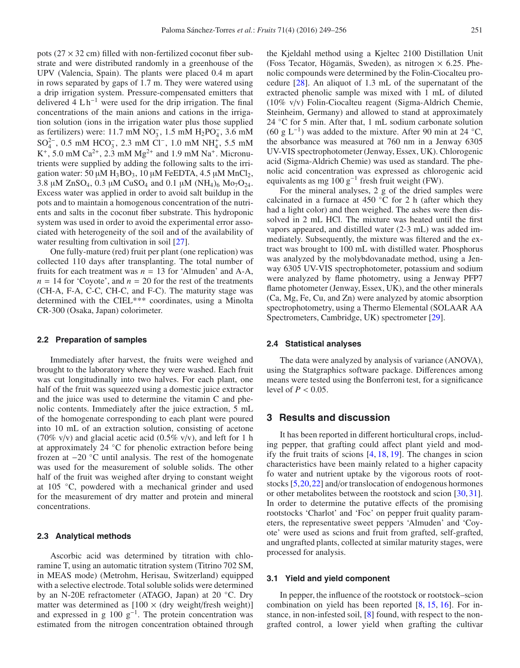pots  $(27 \times 32 \text{ cm})$  filled with non-fertilized coconut fiber substrate and were distributed randomly in a greenhouse of the UPV (Valencia, Spain). The plants were placed 0.4 m apart in rows separated by gaps of 1.7 m. They were watered using a drip irrigation system. Pressure-compensated emitters that delivered  $4 \text{ L} \text{h}^{-1}$  were used for the drip irrigation. The final concentrations of the main anions and cations in the irrigation solution (ions in the irrigation water plus those supplied as fertilizers) were: 11.7 mM  $NO_3^-$ , 1.5 mM  $H_2PO_4^-$ , 3.6 mM  $SO_4^{2-}$ , 0.5 mM HCO<sub>3</sub>, 2.3 mM Cl<sup>-</sup>, 1.0 mM NH<sub>4</sub>, 5.5 mM  $K^+$ , 5.0 mM Ca<sup>2+</sup>, 2.3 mM Mg<sup>2+</sup> and 1.9 mM Na<sup>+</sup>. Micronutrients were supplied by adding the following salts to the irrigation water: 50  $\mu$ M H<sub>3</sub>BO<sub>3</sub>, 10  $\mu$ M FeEDTA, 4.5  $\mu$ M MnCl<sub>2</sub>, 3.8  $\mu$ M ZnSO<sub>4</sub>, 0.3  $\mu$ M CuSO<sub>4</sub> and 0.1  $\mu$ M (NH<sub>4</sub>)<sub>6</sub> Mo<sub>7</sub>O<sub>24</sub>. Excess water was applied in order to avoid salt buildup in the pots and to maintain a homogenous concentration of the nutrients and salts in the coconut fiber substrate. This hydroponic system was used in order to avoid the experimental error associated with heterogeneity of the soil and of the availability of water resulting from cultivation in soil [\[27\]](#page-6-15).

One fully-mature (red) fruit per plant (one replication) was collected 110 days after transplanting. The total number of fruits for each treatment was  $n = 13$  for 'Almuden' and A-A,  $n = 14$  for 'Coyote', and  $n = 20$  for the rest of the treatments (CH-A, F-A, C-C, CH-C, and F-C). The maturity stage was determined with the CIEL\*\*\* coordinates, using a Minolta CR-300 (Osaka, Japan) colorimeter.

#### **2.2 Preparation of samples**

Immediately after harvest, the fruits were weighed and brought to the laboratory where they were washed. Each fruit was cut longitudinally into two halves. For each plant, one half of the fruit was squeezed using a domestic juice extractor and the juice was used to determine the vitamin C and phenolic contents. Immediately after the juice extraction, 5 mL of the homogenate corresponding to each plant were poured into 10 mL of an extraction solution, consisting of acetone (70% v/v) and glacial acetic acid (0.5% v/v), and left for 1 h at approximately 24 ◦C for phenolic extraction before being frozen at −20 ◦C until analysis. The rest of the homogenate was used for the measurement of soluble solids. The other half of the fruit was weighed after drying to constant weight at 105 ◦C, powdered with a mechanical grinder and used for the measurement of dry matter and protein and mineral concentrations.

#### **2.3 Analytical methods**

Ascorbic acid was determined by titration with chloramine T, using an automatic titration system (Titrino 702 SM, in MEAS mode) (Metrohm, Herisau, Switzerland) equipped with a selective electrode. Total soluble solids were determined by an N-20E refractometer (ATAGO, Japan) at 20 ◦C. Dry matter was determined as  $[100 \times (dry weight/fresh weight)]$ and expressed in g  $100 \text{ g}^{-1}$ . The protein concentration was estimated from the nitrogen concentration obtained through

the Kjeldahl method using a Kjeltec 2100 Distillation Unit (Foss Tecator, Högamäs, Sweden), as nitrogen  $\times$  6.25. Phenolic compounds were determined by the Folin-Ciocalteu procedure [\[28](#page-6-16)]. An aliquot of 1.3 mL of the supernatant of the extracted phenolic sample was mixed with 1 mL of diluted (10% v/v) Folin-Ciocalteu reagent (Sigma-Aldrich Chemie, Steinheim, Germany) and allowed to stand at approximately 24 <sup>°</sup>C for 5 min. After that, 1 mL sodium carbonate solution (60 g L<sup>-1</sup>) was added to the mixture. After 90 min at 24 °C, the absorbance was measured at 760 nm in a Jenway 6305 UV-VIS spectrophotometer (Jenway, Essex, UK). Chlorogenic acid (Sigma-Aldrich Chemie) was used as standard. The phenolic acid concentration was expressed as chlorogenic acid equivalents as mg 100 g<sup>-1</sup> fresh fruit weight (FW).

For the mineral analyses, 2 g of the dried samples were calcinated in a furnace at 450  $°C$  for 2 h (after which they had a light color) and then weighed. The ashes were then dissolved in 2 mL HCl. The mixture was heated until the first vapors appeared, and distilled water (2-3 mL) was added immediately. Subsequently, the mixture was filtered and the extract was brought to 100 mL with distilled water. Phosphorus was analyzed by the molybdovanadate method, using a Jenway 6305 UV-VIS spectrophotometer, potassium and sodium were analyzed by flame photometry, using a Jenway PFP7 flame photometer (Jenway, Essex, UK), and the other minerals (Ca, Mg, Fe, Cu, and Zn) were analyzed by atomic absorption spectrophotometry, using a Thermo Elemental (SOLAAR AA Spectrometers, Cambridge, UK) spectrometer [\[29](#page-6-17)].

#### **2.4 Statistical analyses**

The data were analyzed by analysis of variance (ANOVA), using the Statgraphics software package. Differences among means were tested using the Bonferroni test, for a significance level of  $P < 0.05$ .

## **3 Results and discussion**

It has been reported in different horticultural crops, including pepper, that grafting could affect plant yield and modify the fruit traits of scions [\[4](#page-5-3), [18](#page-6-4), [19\]](#page-6-5). The changes in scion characteristics have been mainly related to a higher capacity fo water and nutrient uptake by the vigorous roots of rootstocks [\[5,](#page-5-7)[20](#page-6-6)[,22](#page-6-8)] and/or translocation of endogenous hormones or other metabolites between the rootstock and scion [\[30](#page-6-18), [31](#page-6-19)]. In order to determine the putative effects of the promising rootstocks 'Charlot' and 'Foc' on pepper fruit quality parameters, the representative sweet peppers 'Almuden' and 'Coyote' were used as scions and fruit from grafted, self-grafted, and ungrafted plants, collected at similar maturity stages, were processed for analysis.

### **3.1 Yield and yield component**

In pepper, the influence of the rootstock or rootstock–scion combination on yield has been reported [\[8](#page-5-5), [15,](#page-6-10) [16\]](#page-6-0). For instance, in non-infested soil, [\[8](#page-5-5)] found, with respect to the nongrafted control, a lower yield when grafting the cultivar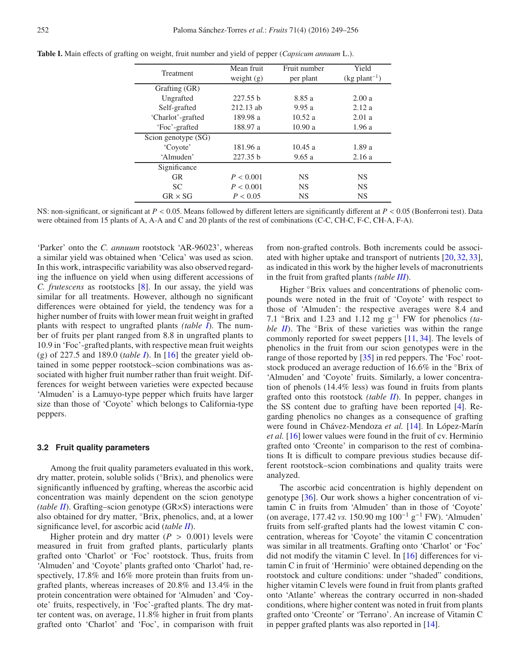| Treatment           | Mean fruit   | Fruit number | Yield                       |  |
|---------------------|--------------|--------------|-----------------------------|--|
|                     | weight $(g)$ | per plant    | $(kg$ plant <sup>-1</sup> ) |  |
| Grafting (GR)       |              |              |                             |  |
| Ungrafted           | 227.55 b     | 8.85 a       | 2.00a                       |  |
| Self-grafted        | 212.13 ab    | 9.95a        | 2.12a                       |  |
| 'Charlot'-grafted   | 189.98 a     | 10.52a       | 2.01a                       |  |
| 'Foc'-grafted       | 188.97 a     | 10.90a       | 1.96a                       |  |
| Scion genotype (SG) |              |              |                             |  |
| 'Coyote'            | 181.96 a     | 10.45a       | 1.89a                       |  |
| 'Almuden'           | 227.35 b     | 9.65a        | 2.16a                       |  |
| Significance        |              |              |                             |  |
| <b>GR</b>           | P < 0.001    | <b>NS</b>    | <b>NS</b>                   |  |
| <b>SC</b>           | P < 0.001    | <b>NS</b>    | <b>NS</b>                   |  |
| $GR \times SG$      | P < 0.05     | <b>NS</b>    | <b>NS</b>                   |  |

<span id="page-3-0"></span>**Table I.** Main effects of grafting on weight, fruit number and yield of pepper (*Capsicum annuum* L.).

NS: non-significant, or significant at *P* < 0.05. Means followed by different letters are significantly different at *P* < 0.05 (Bonferroni test). Data were obtained from 15 plants of A, A-A and C and 20 plants of the rest of combinations (C-C, CH-C, F-C, CH-A, F-A).

'Parker' onto the *C. annuum* rootstock 'AR-96023', whereas a similar yield was obtained when 'Celica' was used as scion. In this work, intraspecific variability was also observed regarding the influence on yield when using different accessions of *C. frutescens* as rootstocks [\[8](#page-5-5)]. In our assay, the yield was similar for all treatments. However, although no significant differences were obtained for yield, the tendency was for a higher number of fruits with lower mean fruit weight in grafted plants with respect to ungrafted plants *(table [I](#page-3-0)*). The number of fruits per plant ranged from 8.8 in ungrafted plants to 10.9 in 'Foc'-grafted plants, with respective mean fruit weights (g) of 227.5 and 189.0 (*table [I](#page-3-0)*). In [\[16\]](#page-6-0) the greater yield obtained in some pepper rootstock–scion combinations was associated with higher fruit number rather than fruit weight. Differences for weight between varieties were expected because 'Almuden' is a Lamuyo-type pepper which fruits have larger size than those of 'Coyote' which belongs to California-type peppers.

## **3.2 Fruit quality parameters**

Among the fruit quality parameters evaluated in this work, dry matter, protein, soluble solids (◦Brix), and phenolics were significantly influenced by grafting, whereas the ascorbic acid concentration was mainly dependent on the scion genotype *(table [II](#page-4-0)*). Grafting–scion genotype (GR×S) interactions were also obtained for dry matter, ◦Brix, phenolics, and, at a lower significance level, for ascorbic acid (*table [II](#page-4-0)*).

Higher protein and dry matter  $(P > 0.001)$  levels were measured in fruit from grafted plants, particularly plants grafted onto 'Charlot' or 'Foc' rootstock. Thus, fruits from 'Almuden' and 'Coyote' plants grafted onto 'Charlot' had, respectively,  $17.8\%$  and  $16\%$  more protein than fruits from ungrafted plants, whereas increases of 20.8% and 13.4% in the protein concentration were obtained for 'Almuden' and 'Coyote' fruits, respectively, in 'Foc'-grafted plants. The dry matter content was, on average, 11.8% higher in fruit from plants grafted onto 'Charlot' and 'Foc', in comparison with fruit from non-grafted controls. Both increments could be associated with higher uptake and transport of nutrients [\[20](#page-6-6), [32](#page-6-20), [33](#page-6-21)], as indicated in this work by the higher levels of macronutrients in the fruit from grafted plants *(table [III](#page-5-8)*).

Higher  $\degree$ Brix values and concentrations of phenolic compounds were noted in the fruit of 'Coyote' with respect to those of 'Almuden': the respective averages were 8.4 and 7.1 ◦Brix and 1.23 and 1.12 mg g−<sup>1</sup> FW for phenolics *(table [II](#page-4-0)*). The °Brix of these varieties was within the range commonly reported for sweet peppers [\[11](#page-6-1), [34\]](#page-6-22). The levels of phenolics in the fruit from our scion genotypes were in the range of those reported by [\[35](#page-6-23)] in red peppers. The 'Foc' rootstock produced an average reduction of 16.6% in the ◦Brix of 'Almuden' and 'Coyote' fruits. Similarly, a lower concentration of phenols (14.4% less) was found in fruits from plants grafted onto this rootstock *(table [II](#page-4-0)*). In pepper, changes in the SS content due to grafting have been reported [\[4\]](#page-5-3). Regarding phenolics no changes as a consequence of grafting were found in Chávez-Mendoza *et al.* [\[14\]](#page-6-2). In López-Marín *et al.* [\[16\]](#page-6-0) lower values were found in the fruit of cv. Herminio grafted onto 'Creonte' in comparison to the rest of combinations It is difficult to compare previous studies because different rootstock–scion combinations and quality traits were analyzed.

The ascorbic acid concentration is highly dependent on genotype [\[36](#page-6-24)]. Our work shows a higher concentration of vitamin C in fruits from 'Almuden' than in those of 'Coyote' (on average, 177.42 *vs.* 150.90 mg 100−<sup>1</sup> g−<sup>1</sup> FW). 'Almuden' fruits from self-grafted plants had the lowest vitamin C concentration, whereas for 'Coyote' the vitamin C concentration was similar in all treatments. Grafting onto 'Charlot' or 'Foc' did not modify the vitamin C level. In [\[16\]](#page-6-0) differences for vitamin C in fruit of 'Herminio' were obtained depending on the rootstock and culture conditions: under "shaded" conditions, higher vitamin C levels were found in fruit from plants grafted onto 'Atlante' whereas the contrary occurred in non-shaded conditions, where higher content was noted in fruit from plants grafted onto 'Creonte' or 'Terrano'. An increase of Vitamin C in pepper grafted plants was also reported in [\[14\]](#page-6-2).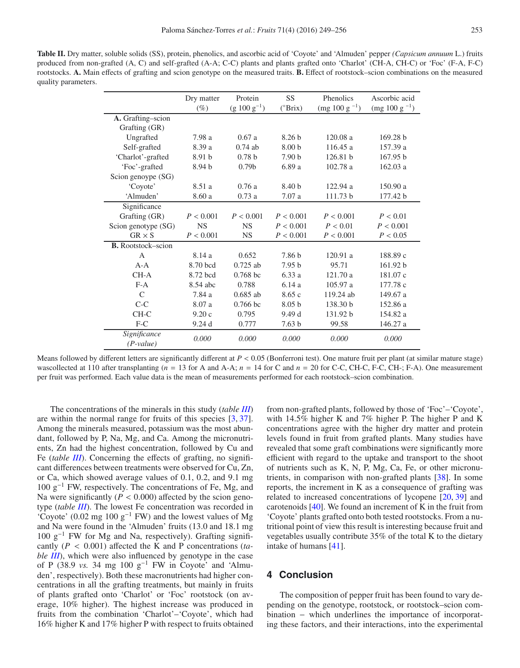<span id="page-4-0"></span>**Table II.** Dry matter, soluble solids (SS), protein, phenolics, and ascorbic acid of 'Coyote' and 'Almuden' pepper *(Capsicum annuum* L.) fruits produced from non-grafted (A, C) and self-grafted (A-A; C-C) plants and plants grafted onto 'Charlot' (CH-A, CH-C) or 'Foc' (F-A, F-C) rootstocks. **A.** Main effects of grafting and scion genotype on the measured traits. **B.** Effect of rootstock–scion combinations on the measured quality parameters.

|                           | Dry matter        | Protein           | SS                | Phenolics             | Ascorbic acid            |  |
|---------------------------|-------------------|-------------------|-------------------|-----------------------|--------------------------|--|
|                           | $(\%)$            | $(g 100 g^{-1})$  | $(^{\circ}Brix)$  | $\rm (mg 100 g^{-1})$ | $\text{(mg 100 g}^{-1})$ |  |
| A. Grafting-scion         |                   |                   |                   |                       |                          |  |
| Grafting (GR)             |                   |                   |                   |                       |                          |  |
| Ungrafted                 | 7.98 a            | 0.67a             | 8.26 <sub>b</sub> | 120.08a               | 169.28 b                 |  |
| Self-grafted              | 8.39 a            | $0.74$ ab         | 8.00 <sub>b</sub> | 116.45a               | 157.39 a                 |  |
| 'Charlot'-grafted         | 8.91 <sub>b</sub> | 0.78 <sub>b</sub> | 7.90 <sub>b</sub> | 126.81 b              | 167.95 b                 |  |
| 'Foc'-grafted             | 8.94 <sub>b</sub> | 0.79 <sub>b</sub> | 6.89 a            | 102.78a               | 162.03a                  |  |
| Scion genoype (SG)        |                   |                   |                   |                       |                          |  |
| 'Coyote'                  | 8.51 a            | 0.76a             | 8.40 <sub>b</sub> | 122.94a               | 150.90a                  |  |
| 'Almuden'                 | 8.60 a            | 0.73a             | 7.07a             | 111.73 b              | 177.42 b                 |  |
| Significance              |                   |                   |                   |                       |                          |  |
| Grafting (GR)             | P < 0.001         | P < 0.001         | P < 0.001         | P < 0.001             | P < 0.01                 |  |
| Scion genotype (SG)       | <b>NS</b>         | <b>NS</b>         | P < 0.001         | P < 0.01              | P < 0.001                |  |
| $GR \times S$             | P < 0.001         | <b>NS</b>         | P < 0.001         | P < 0.001             | P < 0.05                 |  |
| <b>B.</b> Rootstock–scion |                   |                   |                   |                       |                          |  |
| A                         | 8.14 a            | 0.652             | 7.86 b            | 120.91a               | 188.89 c                 |  |
| $A - A$                   | 8.70 bcd          | $0.725$ ab        | 7.95 <sub>b</sub> | 95.71                 | 161.92 b                 |  |
| $CH-A$                    | 8.72 bcd          | $0.768$ bc        | 6.33a             | 121.70 a              | 181.07 c                 |  |
| $F-A$                     | 8.54 abc          | 0.788             | 6.14a             | 105.97 a              | 177.78 c                 |  |
| $\mathcal{C}$             | 7.84 a            | $0.685$ ab        | 8.65c             | 119.24 ab             | 149.67 a                 |  |
| $C-C$                     | 8.07 a            | $0.766$ bc        | 8.05 <sub>b</sub> | 138.30 b              | 152.86 a                 |  |
| $CH-C$                    | 9.20c             | 0.795             | 9.49 d            | 131.92 b              | 154.82 a                 |  |
| $F-C$                     | 9.24d             | 0.777             | 7.63 <sub>b</sub> | 99.58                 | 146.27 a                 |  |
| Significance              | 0.000             | 0.000             | 0.000             | 0.000                 | 0.000                    |  |
| $(P-value)$               |                   |                   |                   |                       |                          |  |

Means followed by different letters are significantly different at  $P < 0.05$  (Bonferroni test). One mature fruit per plant (at similar mature stage) wascollected at 110 after transplanting ( $n = 13$  for A and A-A;  $n = 14$  for C and  $n = 20$  for C-C, CH-C, F-C, CH-; F-A). One measurement per fruit was performed. Each value data is the mean of measurements performed for each rootstock–scion combination.

The concentrations of the minerals in this study (*table [III](#page-5-8)*) are within the normal range for fruits of this species [\[3,](#page-5-2) [37](#page-6-25)]. Among the minerals measured, potassium was the most abundant, followed by P, Na, Mg, and Ca. Among the micronutrients, Zn had the highest concentration, followed by Cu and Fe *(table [III](#page-5-8))*. Concerning the effects of grafting, no significant differences between treatments were observed for Cu, Zn, or Ca, which showed average values of 0.1, 0.2, and 9.1 mg 100 g−<sup>1</sup> FW, respectively. The concentrations of Fe, Mg, and Na were significantly  $(P < 0.000)$  affected by the scion genotype (*table [III](#page-5-8)*). The lowest Fe concentration was recorded in 'Coyote' (0.02 mg 100  $g^{-1}$  FW) and the lowest values of Mg and Na were found in the 'Almuden' fruits (13.0 and 18.1 mg 100 g−<sup>1</sup> FW for Mg and Na, respectively). Grafting significantly (*P* < 0.001) affected the K and P concentrations (*table [III](#page-5-8)*), which were also influenced by genotype in the case of P (38.9 *vs.* 34 mg 100 g−<sup>1</sup> FW in Coyote' and 'Almuden', respectively). Both these macronutrients had higher concentrations in all the grafting treatments, but mainly in fruits of plants grafted onto 'Charlot' or 'Foc' rootstock (on average, 10% higher). The highest increase was produced in fruits from the combination 'Charlot'–'Coyote', which had 16% higher K and 17% higher P with respect to fruits obtained

from non-grafted plants, followed by those of 'Foc'–'Coyote', with 14.5% higher K and 7% higher P. The higher P and K concentrations agree with the higher dry matter and protein levels found in fruit from grafted plants. Many studies have revealed that some graft combinations were significantly more efficient with regard to the uptake and transport to the shoot of nutrients such as K, N, P, Mg, Ca, Fe, or other micronutrients, in comparison with non-grafted plants [\[38\]](#page-6-26). In some reports, the increment in K as a consequence of grafting was related to increased concentrations of lycopene [\[20,](#page-6-6) [39](#page-6-27)] and carotenoids [\[40\]](#page-6-28). We found an increment of K in the fruit from 'Coyote' plants grafted onto both tested rootstocks. From a nutritional point of view this result is interesting because fruit and vegetables usually contribute 35% of the total K to the dietary intake of humans [\[41\]](#page-6-29).

# **4 Conclusion**

The composition of pepper fruit has been found to vary depending on the genotype, rootstock, or rootstock–scion combination − which underlines the importance of incorporating these factors, and their interactions, into the experimental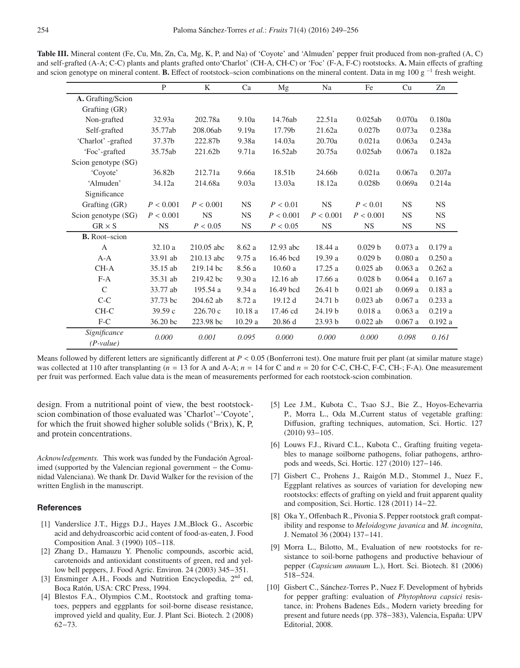|                             | $\mathbf{P}$ | K          | Ca         | Mg        | Na                 | Fe                 | Cu        | Zn        |
|-----------------------------|--------------|------------|------------|-----------|--------------------|--------------------|-----------|-----------|
| A. Grafting/Scion           |              |            |            |           |                    |                    |           |           |
| Grafting (GR)               |              |            |            |           |                    |                    |           |           |
| Non-grafted                 | 32.93a       | 202.78a    | 9.10a      | 14.76ab   | 22.51a             | 0.025ab            | 0.070a    | 0.180a    |
| Self-grafted                | 35.77ab      | 208.06ab   | 9.19a      | 17.79b    | 21.62a             | 0.027 <sub>b</sub> | 0.073a    | 0.238a    |
| 'Charlot' -grafted          | 37.37b       | 222.87b    | 9.38a      | 14.03a    | 20.70a             | 0.021a             | 0.063a    | 0.243a    |
| 'Foc'-grafted               | 35.75ab      | 221.62b    | 9.71a      | 16.52ab   | 20.75a             | 0.025ab            | 0.067a    | 0.182a    |
| Scion genotype (SG)         |              |            |            |           |                    |                    |           |           |
| 'Coyote'                    | 36.82b       | 212.71a    | 9.66a      | 18.51b    | 24.66b             | 0.021a             | 0.067a    | 0.207a    |
| 'Almuden'                   | 34.12a       | 214.68a    | 9.03a      | 13.03a    | 18.12a             | 0.028 <sub>b</sub> | 0.069a    | 0.214a    |
| Significance                |              |            |            |           |                    |                    |           |           |
| Grafting (GR)               | P < 0.001    | P < 0.001  | <b>NS</b>  | P < 0.01  | <b>NS</b>          | P < 0.01           | <b>NS</b> | <b>NS</b> |
| Scion genotype (SG)         | P < 0.001    | <b>NS</b>  | <b>NS</b>  | P < 0.001 | P < 0.001          | P < 0.001          | <b>NS</b> | <b>NS</b> |
| $GR \times S$               | <b>NS</b>    | P < 0.05   | <b>NS</b>  | P < 0.05  | <b>NS</b>          | <b>NS</b>          | <b>NS</b> | <b>NS</b> |
| <b>B.</b> Root-scion        |              |            |            |           |                    |                    |           |           |
| $\overline{A}$              | 32.10a       | 210.05 abc | 8.62 a     | 12.93 abc | 18.44 a            | 0.029 b            | 0.073a    | 0.179a    |
| $A - A$                     | 33.91 ab     | 210.13 abc | 9.75a      | 16.46 bcd | 19.39 a            | 0.029 b            | 0.080a    | 0.250a    |
| $CH-A$                      | 35.15 ab     | 219.14 bc  | 8.56 a     | 10.60a    | 17.25 a            | $0.025$ ab         | 0.063a    | 0.262a    |
| $F-A$                       | 35.31 ab     | 219.42 bc  | 9.30a      | 12.16 ab  | 17.66 a            | 0.028 b            | 0.064a    | 0.167a    |
| $\mathcal{C}$               | 33.77 ab     | 195.54 a   | 9.34a      | 16.49 bcd | 26.41 <sub>b</sub> | $0.021$ ab         | 0.069a    | 0.183a    |
| $C-C$                       | 37.73 bc     | 204.62 ab  | 8.72 a     | 19.12 d   | 24.71 b            | $0.023$ ab         | $0.067$ a | 0.233a    |
| CH-C                        | 39.59c       | 226.70 c   | $10.18\ a$ | 17.46 cd  | 24.19 <sub>b</sub> | 0.018a             | 0.063a    | 0.219a    |
| $F-C$                       | 36.20 bc     | 223.98 bc  | 10.29a     | 20.86d    | 23.93 b            | $0.022$ ab         | 0.067a    | 0.192 a   |
| Significance<br>$(P-value)$ | 0.000        | 0.001      | 0.095      | 0.000     | 0.000              | 0.000              | 0.098     | 0.161     |

<span id="page-5-8"></span>**Table III.** Mineral content (Fe, Cu, Mn, Zn, Ca, Mg, K, P, and Na) of 'Coyote' and 'Almuden' pepper fruit produced from non-grafted (A, C) and self-grafted (A-A; C-C) plants and plants grafted onto'Charlot' (CH-A, CH-C) or 'Foc' (F-A, F-C) rootstocks. **A.** Main effects of grafting and scion genotype on mineral content. **B.** Effect of rootstock–scion combinations on the mineral content. Data in mg 100 g <sup>−</sup><sup>1</sup> fresh weight.

Means followed by different letters are significantly different at  $P < 0.05$  (Bonferroni test). One mature fruit per plant (at similar mature stage) was collected at 110 after transplanting ( $n = 13$  for A and A-A;  $n = 14$  for C and  $n = 20$  for C-C, CH-C, F-C, CH-; F-A). One measurement per fruit was performed. Each value data is the mean of measurements performed for each rootstock-scion combination.

design. From a nutritional point of view, the best rootstockscion combination of those evaluated was 'Charlot'–'Coyote', for which the fruit showed higher soluble solids (°Brix), K, P, and protein concentrations.

*Acknowledgements.* This work was funded by the Fundación Agroalimed (supported by the Valencian regional government − the Comunidad Valenciana). We thank Dr. David Walker for the revision of the written English in the manuscript.

## <span id="page-5-0"></span>**References**

- [1] Vanderslice J.T., Higgs D.J., Hayes J.M.,Block G., Ascorbic acid and dehydroascorbic acid content of food-as-eaten, J. Food Composition Anal. 3 (1990) 105−118.
- <span id="page-5-1"></span>[2] Zhang D., Hamauzu Y. Phenolic compounds, ascorbic acid, carotenoids and antioxidant constituents of green, red and yellow bell peppers, J. Food Agric. Environ. 24 (2003) 345−351.
- <span id="page-5-2"></span>[3] Ensminger A.H., Foods and Nutrition Encyclopedia, 2<sup>nd</sup> ed, Boca Ratón, USA: CRC Press, 1994.
- <span id="page-5-3"></span>[4] Blestos F.A., Olympios C.M., Rootstock and grafting tomatoes, peppers and eggplants for soil-borne disease resistance, improved yield and quality, Eur. J. Plant Sci. Biotech. 2 (2008) 62−73.
- <span id="page-5-7"></span>[5] Lee J.M., Kubota C., Tsao S.J., Bie Z., Hoyos-Echevarria P., Morra L., Oda M.,Current status of vegetable grafting: Diffusion, grafting techniques, automation, Sci. Hortic. 127 (2010) 93−105.
- [6] Louws F.J., Rivard C.L., Kubota C., Grafting fruiting vegetables to manage soilborne pathogens, foliar pathogens, arthropods and weeds, Sci. Hortic. 127 (2010) 127−146.
- <span id="page-5-4"></span>[7] Gisbert C., Prohens J., Raigón M.D., Stommel J., Nuez F., Eggplant relatives as sources of variation for developing new rootstocks: effects of grafting on yield and fruit apparent quality and composition, Sci. Hortic. 128 (2011) 14−22.
- <span id="page-5-5"></span>[8] Oka Y., Offenbach R., Pivonia S. Pepper rootstock graft compatibility and response to *Meloidogyne javanica* and *M. incognita*, J. Nematol 36 (2004) 137−141.
- [9] Morra L., Bilotto, M., Evaluation of new rootstocks for resistance to soil-borne pathogens and productive behaviour of pepper (*Capsicum annuum* L.), Hort. Sci. Biotech. 81 (2006) 518−524.
- <span id="page-5-6"></span>[10] Gisbert C., Sánchez-Torres P., Nuez F. Development of hybrids for pepper grafting: evaluation of *Phytophtora capsici* resistance, in: Prohens Badenes Eds., Modern variety breeding for present and future needs (pp. 378−383), Valencia, España: UPV Editorial, 2008.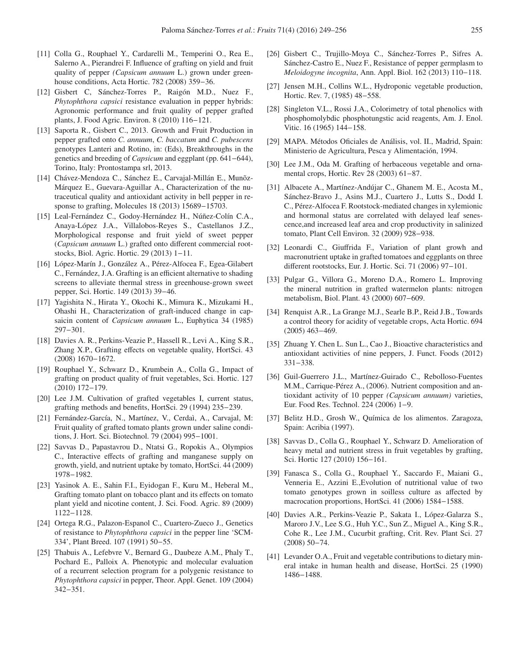- <span id="page-6-1"></span>[11] Colla G., Rouphael Y., Cardarelli M., Temperini O., Rea E., Salerno A., Pierandrei F. Influence of grafting on yield and fruit quality of pepper *(Capsicum annuum* L.) grown under greenhouse conditions, Acta Hortic. 782 (2008) 359−36.
- <span id="page-6-11"></span>[12] Gisbert C, Sánchez-Torres P., Raigón M.D., Nuez F., *Phytophthora capsici* resistance evaluation in pepper hybrids: Agronomic performance and fruit quality of pepper grafted plants, J. Food Agric. Environ. 8 (2010) 116−121.
- [13] Saporta R., Gisbert C., 2013. Growth and Fruit Production in pepper grafted onto *C. annuum*, *C. baccatum* and *C. pubescens* genotypes Lanteri and Rotino, in: (Eds), Breakthroughs in the genetics and breeding of *Capsicum* and eggplant (pp. 641−644), Torino, Italy: Prontostampa srl, 2013.
- <span id="page-6-2"></span>[14] Chávez-Mendoza C., Sánchez E., Carvajal-Millán E., Munõz-Márquez E., Guevara-Aguillar A., Characterization of the nutraceutical quality and antioxidant activity in bell pepper in response to grafting, Molecules 18 (2013) 15689−15703.
- <span id="page-6-10"></span>[15] Leal-Fernández C., Godoy-Hernández H., Núñez-Colín C.A., Anaya-López J.A., Villalobos-Reyes S., Castellanos J.Z., Morphological response and fruit yield of sweet pepper (*Capsicum annuum* L.) grafted onto different commercial rootstocks, Biol. Agric. Hortic. 29 (2013) 1−11.
- <span id="page-6-0"></span>[16] López-Marín J., González A., Pérez-Alfocea F., Egea-Gilabert C., Fernández, J.A. Grafting is an efficient alternative to shading screens to alleviate thermal stress in greenhouse-grown sweet pepper, Sci. Hortic. 149 (2013) 39−46.
- <span id="page-6-3"></span>[17] Yagishita N., Hirata Y., Okochi K., Mimura K., Mizukami H., Ohashi H., Characterization of graft-induced change in capsaicin content of *Capsicum annuum* L., Euphytica 34 (1985) 297−301.
- <span id="page-6-4"></span>[18] Davies A. R., Perkins-Veazie P., Hassell R., Levi A., King S.R., Zhang X.P., Grafting effects on vegetable quality, HortSci. 43 (2008) 1670−1672.
- <span id="page-6-5"></span>[19] Rouphael Y., Schwarz D., Krumbein A., Colla G., Impact of grafting on product quality of fruit vegetables, Sci. Hortic. 127 (2010) 172−179.
- <span id="page-6-6"></span>[20] Lee J.M. Cultivation of grafted vegetables I, current status, grafting methods and benefits, HortSci. 29 (1994) 235−239.
- <span id="page-6-7"></span>[21] Fernández-García, N., Martínez, V., Cerdaì, A., Carvajal, M: Fruit quality of grafted tomato plants grown under saline conditions, J. Hort. Sci. Biotechnol. 79 (2004) 995−1001.
- <span id="page-6-8"></span>[22] Savvas D., Papastavrou D., Ntatsi G., Ropokis A., Olympios C., Interactive effects of grafting and manganese supply on growth, yield, and nutrient uptake by tomato, HortSci. 44 (2009) 1978−1982.
- <span id="page-6-9"></span>[23] Yasinok A. E., Sahin F.I., Eyidogan F., Kuru M., Heberal M., Grafting tomato plant on tobacco plant and its effects on tomato plant yield and nicotine content, J. Sci. Food. Agric. 89 (2009) 1122−1128.
- <span id="page-6-12"></span>[24] Ortega R.G., Palazon-Espanol C., Cuartero-Zueco J., Genetics of resistance to *Phytophthora capsici* in the pepper line 'SCM-334', Plant Breed. 107 (1991) 50−55.
- <span id="page-6-13"></span>[25] Thabuis A., Lefebvre V., Bernard G., Daubeze A.M., Phaly T., Pochard E., Palloix A. Phenotypic and molecular evaluation of a recurrent selection program for a polygenic resistance to *Phytophthora capsici* in pepper, Theor. Appl. Genet. 109 (2004) 342−351.
- <span id="page-6-14"></span>[26] Gisbert C., Trujillo-Moya C., Sánchez-Torres P., Sifres A. Sánchez-Castro E., Nuez F., Resistance of pepper germplasm to *Meloidogyne incognita*, Ann. Appl. Biol. 162 (2013) 110−118.
- <span id="page-6-15"></span>[27] Jensen M.H., Collins W.L., Hydroponic vegetable production, Hortic. Rev. 7, (1985) 48−558.
- <span id="page-6-16"></span>[28] Singleton V.L., Rossi J.A., Colorimetry of total phenolics with phosphomolybdic phosphotungstic acid reagents, Am. J. Enol. Vitic. 16 (1965) 144−158.
- <span id="page-6-17"></span>[29] MAPA. Métodos Oficiales de Análisis, vol. II., Madrid, Spain: Ministerio de Agricultura, Pesca y Alimentación, 1994.
- <span id="page-6-18"></span>[30] Lee J.M., Oda M. Grafting of herbaceous vegetable and ornamental crops, Hortic. Rev 28 (2003) 61−87.
- <span id="page-6-19"></span>[31] Albacete A., Martínez-Andújar C., Ghanem M. E., Acosta M., Sánchez-Bravo J., Asins M.J., Cuartero J., Lutts S., Dodd I. C., Pérez-Alfocea F. Rootstock-mediated changes in xylemionic and hormonal status are correlated with delayed leaf senescence,and increased leaf area and crop productivity in salinized tomato, Plant Cell Environ. 32 (2009) 928−938.
- <span id="page-6-20"></span>[32] Leonardi C., Giuffrida F., Variation of plant growh and macronutrient uptake in grafted tomatoes and eggplants on three different rootstocks, Eur. J. Hortic. Sci. 71 (2006) 97−101.
- <span id="page-6-21"></span>[33] Pulgar G., Villora G., Moreno D.A., Romero L. Improving the mineral nutrition in grafted watermelon plants: nitrogen metabolism, Biol. Plant. 43 (2000) 607−609.
- <span id="page-6-22"></span>[34] Renquist A.R., La Grange M.J., Searle B.P., Reid J.B., Towards a control theory for acidity of vegetable crops, Acta Hortic. 694 (2005) 463−469.
- <span id="page-6-23"></span>[35] Zhuang Y. Chen L. Sun L., Cao J., Bioactive characteristics and antioxidant activities of nine peppers, J. Funct. Foods (2012) 331−338.
- <span id="page-6-24"></span>[36] Guil-Guerrero J.L., Martínez-Guirado C., Rebolloso-Fuentes M.M., Carrique-Pérez A., (2006). Nutrient composition and antioxidant activity of 10 pepper *(Capsicum annuum)* varieties, Eur. Food Res. Technol. 224 (2006) 1−9.
- <span id="page-6-25"></span>[37] Belitz H.D., Grosh W., Química de los alimentos. Zaragoza, Spain: Acribia (1997).
- <span id="page-6-26"></span>[38] Savvas D., Colla G., Rouphael Y., Schwarz D. Amelioration of heavy metal and nutrient stress in fruit vegetables by grafting, Sci. Hortic 127 (2010) 156−161.
- <span id="page-6-27"></span>[39] Fanasca S., Colla G., Rouphael Y., Saccardo F., Maiani G., Venneria E., Azzini E.,Evolution of nutritional value of two tomato genotypes grown in soilless culture as affected by macrocation proportions, HortSci. 41 (2006) 1584−1588.
- <span id="page-6-28"></span>[40] Davies A.R., Perkins-Veazie P., Sakata I., López-Galarza S., Maroro J.V., Lee S.G., Huh Y.C., Sun Z., Miguel A., King S.R., Cohe R., Lee J.M., Cucurbit grafting, Crit. Rev. Plant Sci. 27 (2008) 50−74.
- <span id="page-6-29"></span>[41] Levander O.A., Fruit and vegetable contributions to dietary mineral intake in human health and disease, HortSci. 25 (1990) 1486−1488.